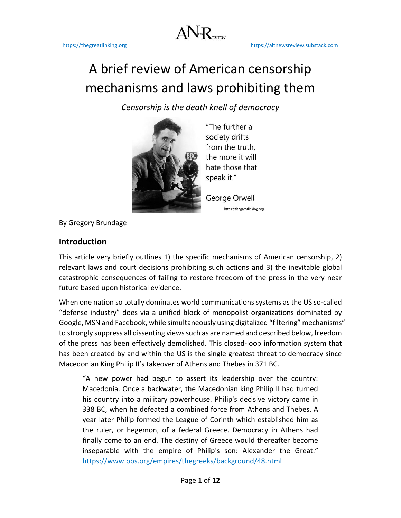$ANR$ 

# A brief review of American censorship mechanisms and laws prohibiting them

*Censorship is the death knell of democracy*



"The further a society drifts from the truth, the more it will hate those that speak it."

George Orwell https://thegreatlinking.org

By Gregory Brundage

# **Introduction**

This article very briefly outlines 1) the specific mechanisms of American censorship, 2) relevant laws and court decisions prohibiting such actions and 3) the inevitable global catastrophic consequences of failing to restore freedom of the press in the very near future based upon historical evidence.

When one nation so totally dominates world communications systems as the US so-called "defense industry" does via a unified block of monopolist organizations dominated by Google, MSN and Facebook, while simultaneously using digitalized "filtering" mechanisms" to strongly suppress all dissenting viewssuch as are named and described below, freedom of the press has been effectively demolished. This closed-loop information system that has been created by and within the US is the single greatest threat to democracy since Macedonian King Philip II's takeover of Athens and Thebes in 371 BC.

"A new power had begun to assert its leadership over the country: Macedonia. Once a backwater, the Macedonian king Philip II had turned his country into a military powerhouse. Philip's decisive victory came in 338 BC, when he defeated a combined force from Athens and Thebes. A year later Philip formed the League of Corinth which established him as the ruler, or hegemon, of a federal Greece. Democracy in Athens had finally come to an end. The destiny of Greece would thereafter become inseparable with the empire of Philip's son: Alexander the Great." <https://www.pbs.org/empires/thegreeks/background/48.html>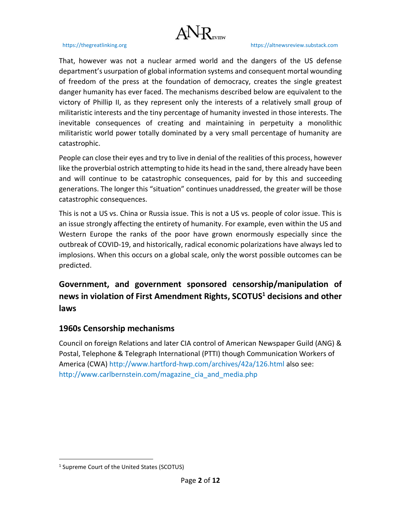

That, however was not a nuclear armed world and the dangers of the US defense department's usurpation of global information systems and consequent mortal wounding of freedom of the press at the foundation of democracy, creates the single greatest danger humanity has ever faced. The mechanisms described below are equivalent to the victory of Phillip II, as they represent only the interests of a relatively small group of militaristic interests and the tiny percentage of humanity invested in those interests. The inevitable consequences of creating and maintaining in perpetuity a monolithic militaristic world power totally dominated by a very small percentage of humanity are catastrophic.

People can close their eyes and try to live in denial of the realities of this process, however like the proverbial ostrich attempting to hide its head in the sand, there already have been and will continue to be catastrophic consequences, paid for by this and succeeding generations. The longer this "situation" continues unaddressed, the greater will be those catastrophic consequences.

This is not a US vs. China or Russia issue. This is not a US vs. people of color issue. This is an issue strongly affecting the entirety of humanity. For example, even within the US and Western Europe the ranks of the poor have grown enormously especially since the outbreak of COVID-19, and historically, radical economic polarizations have always led to implosions. When this occurs on a global scale, only the worst possible outcomes can be predicted.

**Government, and government sponsored censorship/manipulation of news in violation of First Amendment Rights, SCOTUS<sup>1</sup> decisions and other laws**

# **1960s Censorship mechanisms**

Council on foreign Relations and later CIA control of American Newspaper Guild (ANG) & Postal, Telephone & Telegraph International (PTTI) though Communication Workers of America (CWA) <http://www.hartford-hwp.com/archives/42a/126.html> also see: [http://www.carlbernstein.com/magazine\\_cia\\_and\\_media.php](http://www.carlbernstein.com/magazine_cia_and_media.php)

<sup>&</sup>lt;sup>1</sup> Supreme Court of the United States (SCOTUS)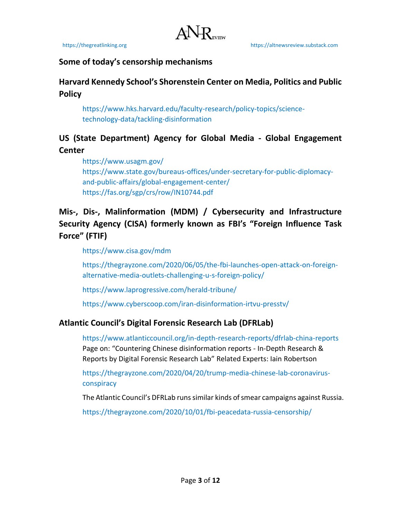# **Some of today's censorship mechanisms**

# **Harvard Kennedy School's Shorenstein Center on Media, Politics and Public Policy**

[https://www.hks.harvard.edu/faculty-research/policy-topics/science](https://www.hks.harvard.edu/faculty-research/policy-topics/science-technology-data/tackling-disinformation)[technology-data/tackling-disinformation](https://www.hks.harvard.edu/faculty-research/policy-topics/science-technology-data/tackling-disinformation)

# **US (State Department) Agency for Global Media - Global Engagement Center**

<https://www.usagm.gov/> [https://www.state.gov/bureaus-offices/under-secretary-for-public-diplomacy](https://www.state.gov/bureaus-offices/under-secretary-for-public-diplomacy-and-public-affairs/global-engagement-center/)[and-public-affairs/global-engagement-center/](https://www.state.gov/bureaus-offices/under-secretary-for-public-diplomacy-and-public-affairs/global-engagement-center/) <https://fas.org/sgp/crs/row/IN10744.pdf>

# **Mis-, Dis-, Malinformation (MDM) / Cybersecurity and Infrastructure Security Agency (CISA) formerly known as FBI's "Foreign Influence Task Force" (FTIF)**

<https://www.cisa.gov/mdm>

[https://thegrayzone.com/2020/06/05/the-fbi-launches-open-attack-on-foreign](https://thegrayzone.com/2020/06/05/the-fbi-launches-open-attack-on-foreign-alternative-media-outlets-challenging-u-s-foreign-policy/)[alternative-media-outlets-challenging-u-s-foreign-policy/](https://thegrayzone.com/2020/06/05/the-fbi-launches-open-attack-on-foreign-alternative-media-outlets-challenging-u-s-foreign-policy/)

<https://www.laprogressive.com/herald-tribune/>

<https://www.cyberscoop.com/iran-disinformation-irtvu-presstv/>

# **Atlantic Council's Digital Forensic Research Lab (DFRLab)**

<https://www.atlanticcouncil.org/in-depth-research-reports/dfrlab-china-reports> Page on: "Countering Chinese disinformation reports - In-Depth Research & Reports by Digital Forensic Research Lab" Related Experts: Iain Robertson

[https://thegrayzone.com/2020/04/20/trump-media-chinese-lab-coronavirus](https://thegrayzone.com/2020/04/20/trump-media-chinese-lab-coronavirus-conspiracy)[conspiracy](https://thegrayzone.com/2020/04/20/trump-media-chinese-lab-coronavirus-conspiracy)

The Atlantic Council's DFRLab runs similar kinds of smear campaigns against Russia.

<https://thegrayzone.com/2020/10/01/fbi-peacedata-russia-censorship/>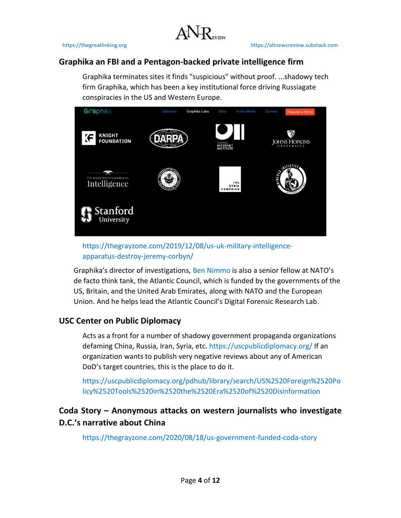

# **Graphika an FBI and a Pentagon-backed private intelligence firm**

Graphika terminates sites it finds "suspicious" without proof. ...shadowy tech firm Graphika, which has been a key institutional force driving Russiagate conspiracies in the US and Western Europe.



[https://thegrayzone.com/2019/12/08/us-uk-military-intelligence](https://thegrayzone.com/2019/12/08/us-uk-military-intelligence-apparatus-destroy-jeremy-corbyn/)[apparatus-destroy-jeremy-corbyn/](https://thegrayzone.com/2019/12/08/us-uk-military-intelligence-apparatus-destroy-jeremy-corbyn/)

Graphika's director of investigations, [Ben Nimmo](https://www.justsecurity.org/author/nimmoben/) is also a senior fellow at NATO's de facto think tank, the Atlantic Council, which is funded by the governments of the US, Britain, and the United Arab Emirates, along with NATO and the European Union. And he helps lead the Atlantic Council's Digital Forensic Research Lab.

# **USC Center on Public Diplomacy**

Acts as a front for a number of shadowy government propaganda organizations defaming China, Russia, Iran, Syria, etc.<https://uscpublicdiplomacy.org/> If an organization wants to publish very negative reviews about any of American DoD's target countries, this is the place to do it.

[https://uscpublicdiplomacy.org/pdhub/library/search/US%2520Foreign%2520Po](https://uscpublicdiplomacy.org/pdhub/library/search/US%2520Foreign%2520Policy%2520Tools%2520in%2520the%2520Era%2520of%2520Disinformation) [licy%2520Tools%2520in%2520the%2520Era%2520of%2520Disinformation](https://uscpublicdiplomacy.org/pdhub/library/search/US%2520Foreign%2520Policy%2520Tools%2520in%2520the%2520Era%2520of%2520Disinformation)

# **Coda Story – Anonymous attacks on western journalists who investigate D.C.'s narrative about China**

<https://thegrayzone.com/2020/08/18/us-government-funded-coda-story>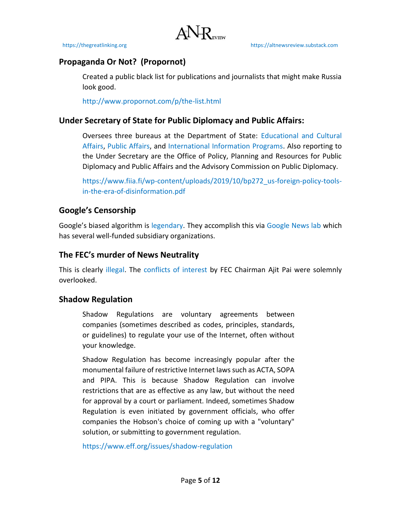# **Propaganda Or Not? (Propornot)**

Created a public black list for publications and journalists that might make Russia look good.

<http://www.propornot.com/p/the-list.html>

# **Under Secretary of State for Public Diplomacy and Public Affairs:**

Oversees three bureaus at the Department of State: [Educational and Cultural](https://en.wikipedia.org/wiki/Bureau_of_Educational_and_Cultural_Affairs)  [Affairs,](https://en.wikipedia.org/wiki/Bureau_of_Educational_and_Cultural_Affairs) [Public Affairs,](https://en.wikipedia.org/wiki/Bureau_of_Public_Affairs) and [International Information Programs.](https://en.wikipedia.org/wiki/Bureau_of_International_Information_Programs) Also reporting to the Under Secretary are the Office of Policy, Planning and Resources for Public Diplomacy and Public Affairs and the Advisory Commission on Public Diplomacy.

[https://www.fiia.fi/wp-content/uploads/2019/10/bp272\\_us-foreign-policy-tools](https://www.fiia.fi/wp-content/uploads/2019/10/bp272_us-foreign-policy-tools-in-the-era-of-disinformation.pdf)[in-the-era-of-disinformation.pdf](https://www.fiia.fi/wp-content/uploads/2019/10/bp272_us-foreign-policy-tools-in-the-era-of-disinformation.pdf)

# **Google's Censorship**

Google's biased algorithm is [legendary.](https://thegreatlinking.files.wordpress.com/2021/03/is-google-biased_article-list-w-links.docx) They accomplish this via [Google News lab](https://newsinitiative.withgoogle.com/google-news-lab) which has several well-funded subsidiary organizations.

# **The FEC's murder of News Neutrality**

This is clearly [illegal.](https://www.law.cornell.edu/uscode/text/47/202) The [conflicts of interest](https://economictimes.indiatimes.com/tech/internet/rolling-back-net-neutrality-can-spur-investments-in-economies-like-india-ajit-pai/articleshow/73181011.cms) by FEC Chairman Ajit Pai were solemnly overlooked.

# **Shadow Regulation**

Shadow Regulations are voluntary agreements between companies (sometimes described as codes, principles, standards, or guidelines) to regulate your use of the Internet, often without your knowledge.

Shadow Regulation has become increasingly popular after the monumental failure of restrictive Internet laws such as ACTA, SOPA and PIPA. This is because Shadow Regulation can involve restrictions that are as effective as any law, but without the need for approval by a court or parliament. Indeed, sometimes Shadow Regulation is even initiated by government officials, who offer companies the Hobson's choice of coming up with a "voluntary" solution, or submitting to government regulation.

<https://www.eff.org/issues/shadow-regulation>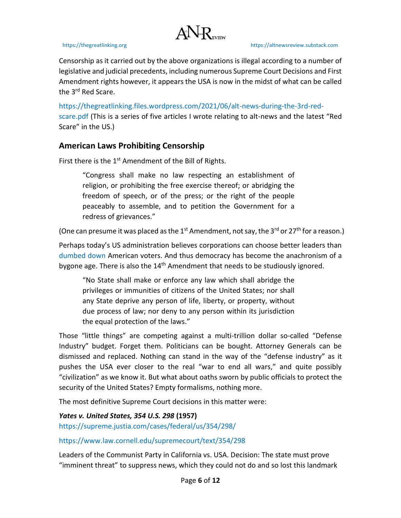

Censorship as it carried out by the above organizations is illegal according to a number of legislative and judicial precedents, including numerous Supreme Court Decisions and First Amendment rights however, it appears the USA is now in the midst of what can be called the 3<sup>rd</sup> Red Scare.

[https://thegreatlinking.files.wordpress.com/2021/06/alt-news-during-the-3rd-red](https://thegreatlinking.files.wordpress.com/2021/06/alt-news-during-the-3rd-red-scare.pdf)[scare.pdf](https://thegreatlinking.files.wordpress.com/2021/06/alt-news-during-the-3rd-red-scare.pdf) (This is a series of five articles I wrote relating to alt-news and the latest "Red Scare" in the US.)

# **American Laws Prohibiting Censorship**

First there is the  $1<sup>st</sup>$  Amendment of the Bill of Rights.

"Congress shall make no law respecting an establishment of religion, or prohibiting the free exercise thereof; or abridging the freedom of speech, or of the press; or the right of the people peaceably to assemble, and to petition the Government for a redress of grievances."

(One can presume it was placed as the 1<sup>st</sup> Amendment, not say, the 3<sup>rd</sup> or 27<sup>th</sup> for a reason.)

Perhaps today's US administration believes corporations can choose better leaders than [dumbed down](https://www.globalresearch.ca/the-dumbing-down-of-america-by-design/5395928) American voters. And thus democracy has become the anachronism of a bygone age. There is also the 14<sup>th</sup> Amendment that needs to be studiously ignored.

"No State shall make or enforce any law which shall abridge the privileges or immunities of citizens of the United States; nor shall any State deprive any person of life, liberty, or property, without due process of law; nor deny to any person within its jurisdiction the equal protection of the laws."

Those "little things" are competing against a multi-trillion dollar so-called "Defense Industry" budget. Forget them. Politicians can be bought. Attorney Generals can be dismissed and replaced. Nothing can stand in the way of the "defense industry" as it pushes the USA ever closer to the real "war to end all wars," and quite possibly "civilization" as we know it. But what about oaths sworn by public officials to protect the security of the United States? Empty formalisms, nothing more.

The most definitive Supreme Court decisions in this matter were:

*Yates v. United States, 354 U.S. 298* **(1957)** <https://supreme.justia.com/cases/federal/us/354/298/>

<https://www.law.cornell.edu/supremecourt/text/354/298>

Leaders of the Communist Party in California vs. USA. Decision: The state must prove "imminent threat" to suppress news, which they could not do and so lost this landmark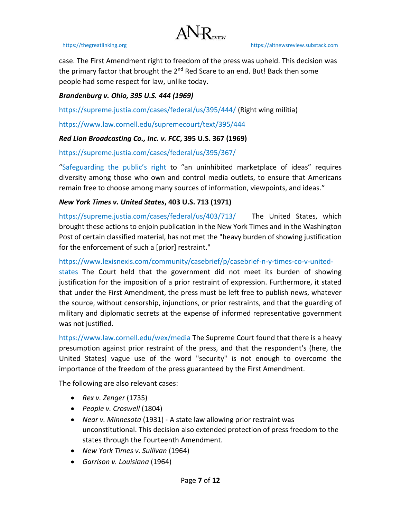# $\Lambda$  NR

case. The First Amendment right to freedom of the press was upheld. This decision was the primary factor that brought the  $2^{nd}$  Red Scare to an end. But! Back then some people had some respect for law, unlike today.

### *Brandenburg v. Ohio, 395 U.S. 444 (1969)*

<https://supreme.justia.com/cases/federal/us/395/444/> (Right wing militia)

<https://www.law.cornell.edu/supremecourt/text/395/444>

## *Red Lion Broadcasting Co., Inc. v. FCC***, 395 U.S. 367 (1969)**

<https://supreme.justia.com/cases/federal/us/395/367/>

["Safeguarding the public's ri](https://aflcio.org/about/leadership/statements/media-monopolies-threat-american-democracy)ght to "an uninhibited marketplace of ideas" requires diversity among those who own and control media outlets, to ensure that Americans remain free to choose among many sources of information, viewpoints, and ideas."

### *New York Times v. United States***, 403 U.S. 713 (1971)**

<https://supreme.justia.com/cases/federal/us/403/713/>The United States, which brought these actions to enjoin publication in the New York Times and in the Washington Post of certain classified material, has not met the "heavy burden of showing justification for the enforcement of such a [prior] restraint."

[https://www.lexisnexis.com/community/casebrief/p/casebrief-n-y-times-co-v-united-](https://www.lexisnexis.com/community/casebrief/p/casebrief-n-y-times-co-v-united-states)

[states](https://www.lexisnexis.com/community/casebrief/p/casebrief-n-y-times-co-v-united-states) The Court held that the government did not meet its burden of showing justification for the imposition of a prior restraint of expression. Furthermore, it stated that under the First Amendment, the press must be left free to publish news, whatever the source, without censorship, injunctions, or prior restraints, and that the guarding of military and diplomatic secrets at the expense of informed representative government was not justified.

<https://www.law.cornell.edu/wex/media> The Supreme Court found that there is a heavy presumption against prior restraint of the press, and that the respondent's (here, the United States) vague use of the word "security" is not enough to overcome the importance of the freedom of the press guaranteed by the First Amendment.

The following are also relevant cases:

- *Rex v. Zenger* (1735)
- *People v. Croswell* (1804)
- *Near v. Minnesota* (1931) A state law allowing prior restraint was unconstitutional. This decision also extended protection of press freedom to the states through the Fourteenth Amendment.
- *New York Times v. Sullivan* (1964)
- *Garrison v. Louisiana* (1964)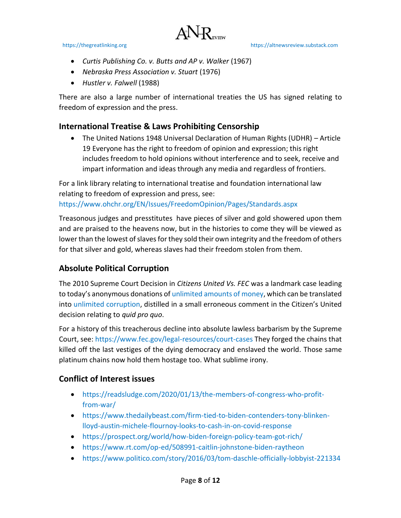

- *Curtis Publishing Co. v. Butts and AP v. Walker* (1967)
- *Nebraska Press Association v. Stuart* (1976)
- *Hustler v. Falwell* (1988)

There are also a large number of international treaties the US has signed relating to freedom of expression and the press.

# **International Treatise & Laws Prohibiting Censorship**

• The United Nations 1948 Universal Declaration of Human Rights (UDHR) – Article 19 Everyone has the right to freedom of opinion and expression; this right includes freedom to hold opinions without interference and to seek, receive and impart information and ideas through any media and regardless of frontiers.

For a link library relating to international treatise and foundation international law relating to freedom of expression and press, see:

<https://www.ohchr.org/EN/Issues/FreedomOpinion/Pages/Standards.aspx>

Treasonous judges and presstitutes have pieces of silver and gold showered upon them and are praised to the heavens now, but in the histories to come they will be viewed as lower than the lowest of slaves for they sold their own integrity and the freedom of others for that silver and gold, whereas slaves had their freedom stolen from them.

# **Absolute Political Corruption**

The 2010 Supreme Court Decision in *Citizens United Vs. FEC* was a landmark case leading to today's anonymous donations of [unlimited amounts of money,](https://www.brennancenter.org/our-work/analysis-opinion/citizens-united-decade-super-pacs) which can be translated into [unlimited corruption,](https://www.opensecrets.org/political-action-committees-pacs/super-pacs/2020) distilled in a small erroneous comment in the Citizen's United decision relating to *quid pro quo*.

For a history of this treacherous decline into absolute lawless barbarism by the Supreme Court, see: [https://www.fec.gov/legal-resources/court-cases](https://www.fec.gov/legal-resources/court-cases/) They forged the chains that killed off the last vestiges of the dying democracy and enslaved the world. Those same platinum chains now hold them hostage too. What sublime irony.

# **Conflict of Interest issues**

- [https://readsludge.com/2020/01/13/the-members-of-congress-who-profit](https://readsludge.com/2020/01/13/the-members-of-congress-who-profit-from-war/)[from-war/](https://readsludge.com/2020/01/13/the-members-of-congress-who-profit-from-war/)
- [https://www.thedailybeast.com/firm-tied-to-biden-contenders-tony-blinken](https://www.thedailybeast.com/firm-tied-to-biden-contenders-tony-blinken-lloyd-austin-michele-flournoy-looks-to-cash-in-on-covid-response)[lloyd-austin-michele-flournoy-looks-to-cash-in-on-covid-response](https://www.thedailybeast.com/firm-tied-to-biden-contenders-tony-blinken-lloyd-austin-michele-flournoy-looks-to-cash-in-on-covid-response)
- <https://prospect.org/world/how-biden-foreign-policy-team-got-rich/>
- <https://www.rt.com/op-ed/508991-caitlin-johnstone-biden-raytheon>
- <https://www.politico.com/story/2016/03/tom-daschle-officially-lobbyist-221334>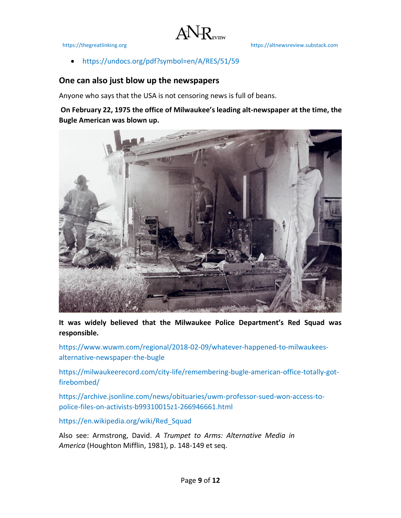

• <https://undocs.org/pdf?symbol=en/A/RES/51/59>

# **One can also just blow up the newspapers**

Anyone who says that the USA is not censoring news is full of beans.

**On February 22, 1975 the office of Milwaukee's leading alt-newspaper at the time, the Bugle American was blown up.** 

 $ANR$ 



**It was widely believed that the Milwaukee Police Department's Red Squad was responsible.**

[https://www.wuwm.com/regional/2018-02-09/whatever-happened-to-milwaukees](https://www.wuwm.com/regional/2018-02-09/whatever-happened-to-milwaukees-alternative-newspaper-the-bugle)[alternative-newspaper-the-bugle](https://www.wuwm.com/regional/2018-02-09/whatever-happened-to-milwaukees-alternative-newspaper-the-bugle)

[https://milwaukeerecord.com/city-life/remembering-bugle-american-office-totally-got](https://milwaukeerecord.com/city-life/remembering-bugle-american-office-totally-got-firebombed/)[firebombed/](https://milwaukeerecord.com/city-life/remembering-bugle-american-office-totally-got-firebombed/)

[https://archive.jsonline.com/news/obituaries/uwm-professor-sued-won-access-to](https://archive.jsonline.com/news/obituaries/uwm-professor-sued-won-access-to-police-files-on-activists-b99310015z1-266946661.html/)[police-files-on-activists-b99310015z1-266946661.html](https://archive.jsonline.com/news/obituaries/uwm-professor-sued-won-access-to-police-files-on-activists-b99310015z1-266946661.html/)

[https://en.wikipedia.org/wiki/Red\\_Squad](https://en.wikipedia.org/wiki/Red_Squad)

Also see: Armstrong, David. *A Trumpet to Arms: Alternative Media in America* (Houghton Mifflin, 1981), p. 148-149 et seq.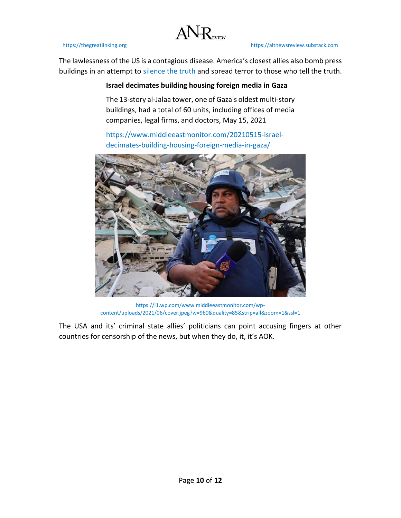

The lawlessness of the US is a contagious disease. America's closest allies also bomb press buildings in an attempt to [silence the truth](https://www.middleeastmonitor.com/20210515-israel-decimates-building-housing-foreign-media-in-gaza/) and spread terror to those who tell the truth.

 $A N R$ 

## **Israel decimates building housing foreign media in Gaza**

The 13-story al-Jalaa tower, one of Gaza's oldest multi-story buildings, had a total of 60 units, including offices of media companies, legal firms, and doctors, May 15, 2021

[https://www.middleeastmonitor.com/20210515-israel](https://www.middleeastmonitor.com/20210515-israel-decimates-building-housing-foreign-media-in-gaza/)[decimates-building-housing-foreign-media-in-gaza/](https://www.middleeastmonitor.com/20210515-israel-decimates-building-housing-foreign-media-in-gaza/)



[https://i1.wp.com/www.middleeastmonitor.com/wp](https://i1.wp.com/www.middleeastmonitor.com/wp-content/uploads/2021/06/cover.jpeg?w=960&quality=85&strip=all&zoom=1&ssl=1)[content/uploads/2021/06/cover.jpeg?w=960&quality=85&strip=all&zoom=1&ssl=1](https://i1.wp.com/www.middleeastmonitor.com/wp-content/uploads/2021/06/cover.jpeg?w=960&quality=85&strip=all&zoom=1&ssl=1)

The USA and its' criminal state allies' politicians can point accusing fingers at other countries for censorship of the news, but when they do, it, it's AOK.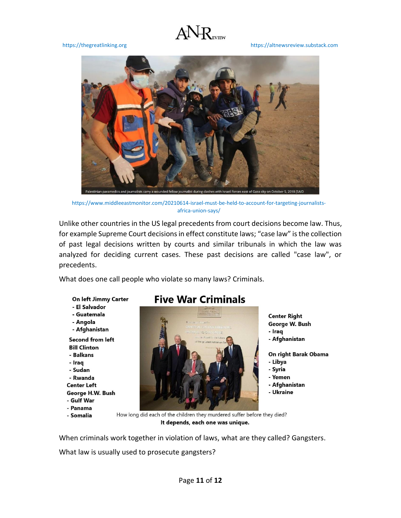# $A N R$

### [https://thegreatlinking.org](https://thegreatlinking.org/) [https://altnewsreview.substack.com](https://altnewsreview.substack.com/)



[https://www.middleeastmonitor.com/20210614-israel-must-be-held-to-account-for-targeting-journalists](https://www.middleeastmonitor.com/20210614-israel-must-be-held-to-account-for-targeting-journalists-africa-union-says/)[africa-union-says/](https://www.middleeastmonitor.com/20210614-israel-must-be-held-to-account-for-targeting-journalists-africa-union-says/)

Unlike other countries in the US legal precedents from court decisions become law. Thus, for example Supreme Court decisions in effect constitute laws; "case law" is the collection of past legal decisions written by courts and similar tribunals in which the law was analyzed for deciding current cases. These past decisions are called "case law", or precedents.

What does one call people who violate so many laws? Criminals.

On left Jimmy Carter

- El Salvador
- Guatemala
- Angola
- Afghanistan

**Second from left Bill Clinton** - Balkans

- Iraq - Sudan - Rwanda **Center Left** George H.W. Bush - Gulf War
- 
- Panama
- Somalia

# **Five War Criminals**



**Center Right** George W. Bush - Iraq - Afghanistan On right Barak Obama

- Libya
- Syria
- Yemen
- Afghanistan
- Ukraine

How long did each of the children they murdered suffer before they died? It depends, each one was unique.

When criminals work together in violation of laws, what are they called? Gangsters.

What law is usually used to prosecute gangsters?